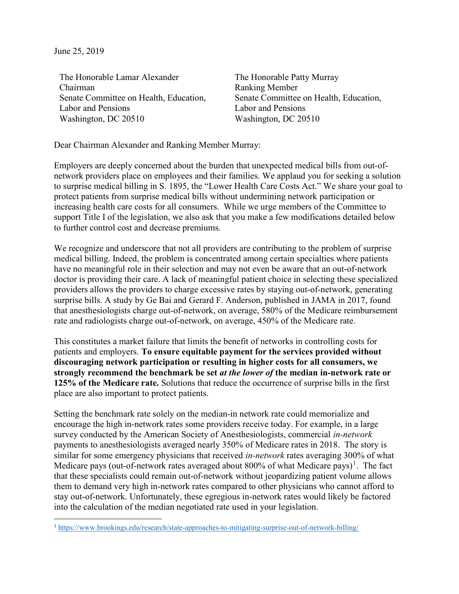June 25, 2019

l

The Honorable Lamar Alexander Chairman Senate Committee on Health, Education, Labor and Pensions Washington, DC 20510

The Honorable Patty Murray Ranking Member Senate Committee on Health, Education, Labor and Pensions Washington, DC 20510

Dear Chairman Alexander and Ranking Member Murray:

Employers are deeply concerned about the burden that unexpected medical bills from out-ofnetwork providers place on employees and their families. We applaud you for seeking a solution to surprise medical billing in S. 1895, the "Lower Health Care Costs Act." We share your goal to protect patients from surprise medical bills without undermining network participation or increasing health care costs for all consumers. While we urge members of the Committee to support Title I of the legislation, we also ask that you make a few modifications detailed below to further control cost and decrease premiums.

We recognize and underscore that not all providers are contributing to the problem of surprise medical billing. Indeed, the problem is concentrated among certain specialties where patients have no meaningful role in their selection and may not even be aware that an out-of-network doctor is providing their care. A lack of meaningful patient choice in selecting these specialized providers allows the providers to charge excessive rates by staying out-of-network, generating surprise bills. A study by Ge Bai and Gerard F. Anderson, published in JAMA in 2017, found that anesthesiologists charge out-of-network, on average, 580% of the Medicare reimbursement rate and radiologists charge out-of-network, on average, 450% of the Medicare rate.

This constitutes a market failure that limits the benefit of networks in controlling costs for patients and employers. **To ensure equitable payment for the services provided without discouraging network participation or resulting in higher costs for all consumers, we strongly recommend the benchmark be set** *at the lower of* **the median in-network rate or 125% of the Medicare rate.** Solutions that reduce the occurrence of surprise bills in the first place are also important to protect patients.

Setting the benchmark rate solely on the median-in network rate could memorialize and encourage the high in-network rates some providers receive today. For example, in a large survey conducted by the American Society of Anesthesiologists, commercial *in-network* payments to anesthesiologists averaged nearly 350% of Medicare rates in 2018. The story is similar for some emergency physicians that received *in-network* rates averaging 300% of what Medicare pays (out-of-network rates averaged about 800% of what Medicare pays)<sup>1</sup>. The fact that these specialists could remain out-of-network without jeopardizing patient volume allows them to demand very high in-network rates compared to other physicians who cannot afford to stay out-of-network. Unfortunately, these egregious in-network rates would likely be factored into the calculation of the median negotiated rate used in your legislation.

<sup>1</sup> https://www.brookings.edu/research/state-approaches-to-mitigating-surprise-out-of-network-billing/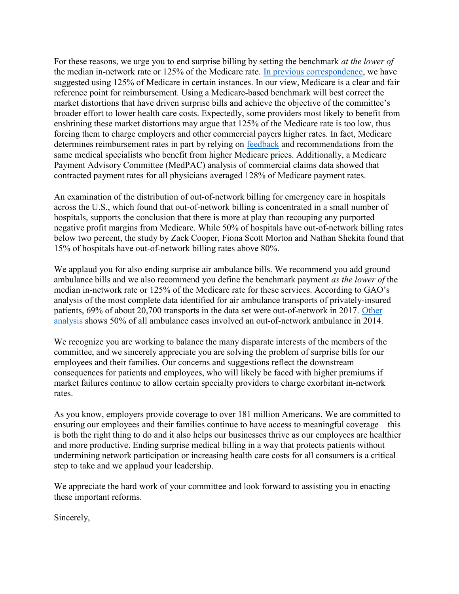For these reasons, we urge you to end surprise billing by setting the benchmark *at the lower of* the median in-network rate or 125% of the Medicare rate. In previous correspondence, we have suggested using 125% of Medicare in certain instances. In our view, Medicare is a clear and fair reference point for reimbursement. Using a Medicare-based benchmark will best correct the market distortions that have driven surprise bills and achieve the objective of the committee's broader effort to lower health care costs. Expectedly, some providers most likely to benefit from enshrining these market distortions may argue that 125% of the Medicare rate is too low, thus forcing them to charge employers and other commercial payers higher rates. In fact, Medicare determines reimbursement rates in part by relying on **feedback** and recommendations from the same medical specialists who benefit from higher Medicare prices. Additionally, a Medicare Payment Advisory Committee (MedPAC) analysis of commercial claims data showed that contracted payment rates for all physicians averaged 128% of Medicare payment rates.

An examination of the distribution of out-of-network billing for emergency care in hospitals across the U.S., which found that out-of-network billing is concentrated in a small number of hospitals, supports the conclusion that there is more at play than recouping any purported negative profit margins from Medicare. While 50% of hospitals have out-of-network billing rates below two percent, the study by Zack Cooper, Fiona Scott Morton and Nathan Shekita found that 15% of hospitals have out-of-network billing rates above 80%.

We applaud you for also ending surprise air ambulance bills. We recommend you add ground ambulance bills and we also recommend you define the benchmark payment *as the lower of* the median in-network rate or 125% of the Medicare rate for these services. According to GAO's analysis of the most complete data identified for air ambulance transports of privately-insured patients, 69% of about 20,700 transports in the data set were out-of-network in 2017. Other analysis shows 50% of all ambulance cases involved an out-of-network ambulance in 2014.

We recognize you are working to balance the many disparate interests of the members of the committee, and we sincerely appreciate you are solving the problem of surprise bills for our employees and their families. Our concerns and suggestions reflect the downstream consequences for patients and employees, who will likely be faced with higher premiums if market failures continue to allow certain specialty providers to charge exorbitant in-network rates.

As you know, employers provide coverage to over 181 million Americans. We are committed to ensuring our employees and their families continue to have access to meaningful coverage – this is both the right thing to do and it also helps our businesses thrive as our employees are healthier and more productive. Ending surprise medical billing in a way that protects patients without undermining network participation or increasing health care costs for all consumers is a critical step to take and we applaud your leadership.

We appreciate the hard work of your committee and look forward to assisting you in enacting these important reforms.

Sincerely,